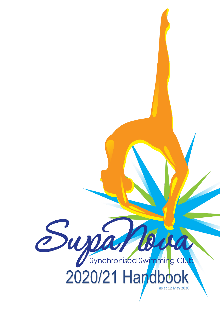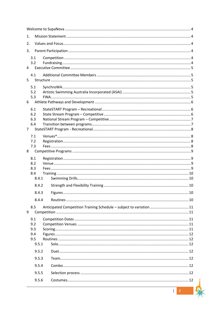| 1.                    |                                                                     |  |  |  |
|-----------------------|---------------------------------------------------------------------|--|--|--|
| 2.                    |                                                                     |  |  |  |
| 3.                    |                                                                     |  |  |  |
| 3.1                   |                                                                     |  |  |  |
| 3.2<br>4              |                                                                     |  |  |  |
|                       |                                                                     |  |  |  |
| 4.1<br>5              |                                                                     |  |  |  |
| 5.1                   |                                                                     |  |  |  |
| 5.2                   |                                                                     |  |  |  |
| 5.3<br>6              |                                                                     |  |  |  |
| 6.1                   |                                                                     |  |  |  |
| 6.2                   |                                                                     |  |  |  |
| 6.3                   |                                                                     |  |  |  |
| 6.4<br>$\overline{7}$ |                                                                     |  |  |  |
| 7.1                   |                                                                     |  |  |  |
| 7.2                   |                                                                     |  |  |  |
| 7.3                   |                                                                     |  |  |  |
| 8                     |                                                                     |  |  |  |
| 8.1<br>8.2            |                                                                     |  |  |  |
| 8.3                   |                                                                     |  |  |  |
| 8.4<br>8.4.1          |                                                                     |  |  |  |
| 8.4.2                 |                                                                     |  |  |  |
|                       |                                                                     |  |  |  |
| 8.4.4                 |                                                                     |  |  |  |
|                       |                                                                     |  |  |  |
| 8.5<br>9              | Anticipated Competition Training Schedule - subject to variation 11 |  |  |  |
| 9.1                   |                                                                     |  |  |  |
| 9.2                   |                                                                     |  |  |  |
| 9.3<br>9.4            |                                                                     |  |  |  |
| 9.5                   |                                                                     |  |  |  |
| 9.5.1                 |                                                                     |  |  |  |
| 9.5.2                 |                                                                     |  |  |  |
| 9.5.3                 |                                                                     |  |  |  |
| 9.5.4                 |                                                                     |  |  |  |
| 9.5.5                 |                                                                     |  |  |  |
| 9.5.6                 |                                                                     |  |  |  |
|                       | $\overline{2}$                                                      |  |  |  |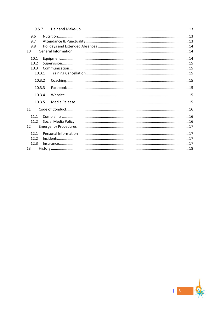| 9.5.7  |  |
|--------|--|
| 9.6    |  |
| 9.7    |  |
| 9.8    |  |
| 10     |  |
| 10.1   |  |
| 10.2   |  |
| 10.3   |  |
| 10.3.1 |  |
| 10.3.2 |  |
| 10.3.3 |  |
| 10.3.4 |  |
| 10.3.5 |  |
| 11     |  |
| 11.1   |  |
| 11.2   |  |
| 12     |  |
| 12.1   |  |
| 12.2   |  |
| 12.3   |  |
| 13     |  |

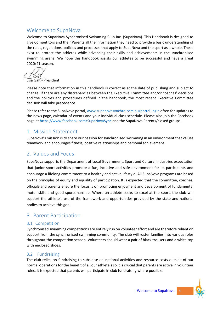# <span id="page-3-0"></span>Welcome to SupaNova

Welcome to SupaNova Synchronised Swimming Club Inc. (SupaNova). This Handbook is designed to give Competitors and their Parents all the information they need to provide a basic understanding of the rules, regulations, policies and processes that apply to SupaNova and the sport as a whole. These exist to protect the athletes while advancing their skills and achievements in the synchronised swimming arena. We hope this handbook assists our athletes to be successful and have a great 2020/21 season.

Lisa Galt - President

Please note that information in this handbook is correct as at the date of publishing and subject to change. If there are any discrepancies between the Executive Committee and/or coaches' decisions and the policies and procedures defined in the handbook, the most recent Executive Committee decision will take precedence.

Please refer to the SupaNova portal[, www.supanovasynchro.com.au/](http://www.supanovasynchro.com.au/)portal-login often for updates to the news page, calendar of events and your individual class schedule. Please also join the Facebook page a[t https://www.facebook.com/SupaNovaSync](https://www.facebook.com/SupaNovaSync) and the SupaNova Parents/closed groups.

# <span id="page-3-1"></span>1. Mission Statement

SupaNova's mission is to share our passion for synchronised swimming in an environment that values teamwork and encourages fitness, positive relationships and personal achievement.

# <span id="page-3-2"></span>2. Values and Focus

SupaNova supports the Department of Local Government, Sport and Cultural Industries expectation that junior sport activities promote a fun, inclusive and safe environment for its participants and encourage a lifelong commitment to a healthy and active lifestyle. All SupaNova programs are based on the principles of equity and equality of participation. It is expected that the committee, coaches, officials and parents ensure the focus is on promoting enjoyment and development of fundamental motor skills and good sportsmanship. Where an athlete seeks to excel at the sport, the club will support the athlete's use of the framework and opportunities provided by the state and national bodies to achieve this goal.

# <span id="page-3-3"></span>3. Parent Participation

## <span id="page-3-4"></span>3.1 Competition

Synchronised swimming competitions are entirely run on volunteer effort and are therefore reliant on support from the synchronised swimming community. The club will roster families into various roles throughout the competition season. Volunteers should wear a pair of black trousers and a white top with enclosed shoes.

## <span id="page-3-5"></span>3.2 Fundraising

The club relies on fundraising to subsidise educational activities and resource costs outside of our normal operations for the benefit of all our athlete's so it is crucial that parents are active in volunteer roles. It is expected that parents will participate in club fundraising where possible.

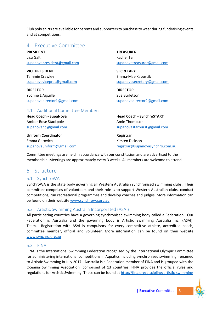Club polo shirts are available for parents and supporters to purchase to wear during fundraising events and at competitions.

# <span id="page-4-0"></span>4 Executive Committee

**PRESIDENT** Lisa Galt [supanovapresident@gmail.com](mailto:supanovapresident@gmail.com)

**VICE PRESIDENT** Tammie Crawley [supanovavicepres@gmail.com](mailto:supanovavicepres@gmail.com)

**DIRECTOR** Yvonne L'Aiguille [supanovadirector1@gmail.com](mailto:supanovadirector1@gmail.com) **TREASURER** Rachel Tan [supanovatreasurer@gmail.com](mailto:supanovatreasurer@gmail.com)

**SECRETARY** Emma-Mae Kapuscik [supanovasecretary@gmail.com](mailto:supanovasecretary@gmail.com)

**DIRECTOR** Sue Burletson [supanovadirector2@gmail.com](mailto:supanovadirector2@gmail.com)

### <span id="page-4-1"></span>4.1 Additional Committee Members

**Head Coach - SupaNova** Amber-Rose Stackpole [supanovahc@gmail.com](mailto:supanovahc@gmail.com)

**Uniform Coordinator** Emma Gerovich [supanovauniform@gmail.com](mailto:supanovauniform@gmail.com) **Head Coach - SynchroSTART** Amie Thompson [supanovastarburst@gmail.com](mailto:supanovastarburst@gmail.com)

**Registrar** Kirsten Dickson [registrar@supanovasynchro.com.au](mailto:registrar@supanovasynchro.com.au)

Committee meetings are held in accordance with our constitution and are advertised to the membership. Meetings are approximately every 3 weeks. All members are welcome to attend.

# <span id="page-4-2"></span>5 Structure

## <span id="page-4-3"></span>5.1 SynchroWA

SynchroWA is the state body governing all Western Australian synchronised swimming clubs. Their committee comprises of volunteers and their role is to support Western Australian clubs, conduct competitions, run recreational programmes and develop coaches and judges. More information can be found on their website [www.synchrowa.org.au](http://www.synchrowa.org.au/)

## <span id="page-4-4"></span>5.2 Artistic Swimming Australia Incorporated (ASAI)

All participating countries have a governing synchronised swimming body called a Federation. Our Federation is Australia and the governing body is Artistic Swimming Australia Inc. (ASAI). Team. Registration with ASAI is compulsory for every competitive athlete, accredited coach, committee member, official and volunteer. More information can be found on their website [www.synchro.org.au](http://www.synchro.org.au/)

## <span id="page-4-5"></span>5.3 FINA

FINA is the International Swimming Federation recognised by the International Olympic Committee for administering international competitions in Aquatics including synchronised swimming, renamed to Artistic Swimming in July 2017. Australia is a Federation member of FINA and is grouped with the Oceania Swimming Association (comprised of 13 countries. FINA provides the official rules and regulations for Artistic Swimming. These can be found at<http://fina.org/discipline/artistic-swimming>

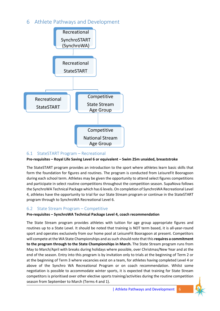# <span id="page-5-0"></span>6 Athlete Pathways and Development



# <span id="page-5-1"></span>6.1 StateSTART Program – Recreational

### **Pre-requisites – Royal Life Saving Level 6 or equivalent – Swim 25m unaided, breaststroke**

The StateSTART program provides an introduction to the sport where athletes learn basic skills that form the foundation for figures and routines. The program is conducted from LeisureFit Booragoon during each school term. Athletes may be given the opportunity to attend select figures competitions and participate in select routine competitions throughout the competition season. SupaNova follows the SynchroWA Technical Package which has 6 levels. On completion of SynchroWA Recreational Level 4, athletes have the opportunity to trial for our State Stream program or continue in the StateSTART program through to SynchroWA Recreational Level 6.

## <span id="page-5-2"></span>6.2 State Stream Program – Competitive

### **Pre-requisites – SynchroWA Technical Package Level 4, coach recommendation**

The State Stream program provides athletes with tuition for age group appropriate figures and routines up to a State Level. It should be noted that training is NOT term based, it is all-year-round sport and operates exclusively from our home pool at LeisureFit Booragoon at present. Competitors will compete at the WA State Championships and as such should note that this **requires a commitment to the program through to the State Championships in March.** The State Stream program runs from May to March/April with breaks during holidays where possible, over Christmas/New Year and at the end of the season. Entry into this program is by invitation only to trials at the beginning of Term 2 or at the beginning of Term 3 where vacancies exist on a team, for athletes having completed Level 4 or above of the Synchro WA Recreational Program or on coach recommendation. Whilst some negotiation is possible to accommodate winter sports, it is expected that training for State Stream competitors is prioritised over other elective sports training/activities during the routine competition season from September to March (Terms 4 and 1).

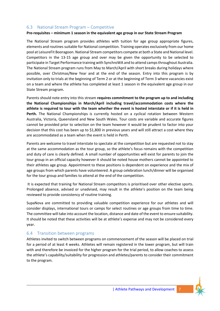### <span id="page-6-0"></span>6.3 National Stream Program – Competitive

#### **Pre-requisites – minimum 1 season in the equivalent age group in our State Stream Program**

The National Stream program provides athletes with tuition for age group appropriate figures, elements and routines suitable for National competition. Training operates exclusively from our home pool at LeisureFit Booragoon. National Stream competitors compete at both a State and National level. Competitors in the 13-15 age group and over may be given the opportunity to be selected to participate in Target Performance training with SynchroWA and to attend camps throughout Australia. The National Stream program runs from May to March/April with short breaks during holidays where possible, over Christmas/New Year and at the end of the season. Entry into this program is by invitation only to trials at the beginning of Term 2 or at the beginning of Term 3 where vacancies exist on a team and where the athlete has completed at least 1 season in the equivalent age group in our State Stream program.

Parents should note entry into this stream **requires commitment to the program up to and including the National Championships in March/April including travel/accommodation costs where the athlete is required to tour with the team whether the event is hosted interstate or if it is held in Perth.** The National Championships is currently hosted on a cyclical rotation between Western Australia, Victoria, Queensland and New South Wales. Tour costs are variable and accurate figures cannot be provided prior to selection on the team however it would be prudent to factor into your decision that this cost has been up to \$1,800 in previous years and will still attract a cost where they are accommodated as a team when the event is held in Perth.

Parents are welcome to travel interstate to spectate at the competition but are requested not to stay at the same accommodation as the tour group, so the athlete's focus remains with the competition and duty of care is clearly defined. A small number of opportunities will exist for parents to join the tour group in an official capacity however it should be noted house mothers cannot be appointed to their athletes age group. Appointment to these positions is dependent on experience and the mix of age groups from which parents have volunteered. A group celebration lunch/dinner will be organised for the tour group and families to attend at the end of the competition.

It is expected that training for National Stream competitors is prioritised over other elective sports. Prolonged absence, advised or unadvised, may result in the athlete's position on the team being reviewed to provide consistency of routine training.

SupaNova are committed to providing valuable competition experience for our athletes and will consider displays, international tours or camps for select routines or age groups from time to time. The committee will take into account the location, distance and date of the event to ensure suitability. It should be noted that these activities will be at athlete's expense and may not be considered every year.

### <span id="page-6-1"></span>6.4 Transition between programs

Athletes invited to switch between programs on commencement of the season will be placed on trial for a period of at least 4 weeks. Athletes will remain registered in the lower program, but will train with and therefore be invoiced for the higher program for the trial period, to allow coaches to assess the athlete's capability/suitability for progression and athletes/parents to consider their commitment to the program.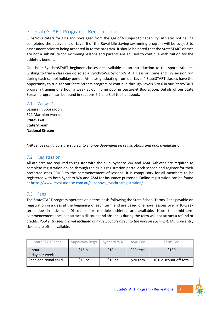# <span id="page-7-0"></span>7 StateSTART Program - Recreational

SupaNova caters for girls and boys aged from the age of 6 subject to capability. Athletes not having completed the equivalent of Level 6 of the Royal Life Saving swimming program will be subject to assessment prior to being accepted in to the program. It should be noted that the StateSTART classes are not a substitute for swimming lessons and parents are advised to continue with tuition for the athlete's benefit.

One hour SynchroSTART beginner classes are available as an introduction to the sport. Athletes wishing to trial a class can do so at a SynchroWA SynchroSTART class or Come and Try session run during each school holiday period. Athletes graduating from our Level 4 StateSTART classes have the opportunity to trial for our State Stream program or continue through Levels 5 to 6 in our StateSTART program training one hour a week at our home pool in LeisureFit Booragoon. Details of our State Stream program can be found in sections 6.2 and 8 of the handbook.

### <span id="page-7-1"></span>7.1 Venues\*

LesiureFit Booragoon 521 Marmion Avenue **StateSTART State Stream National Stream**

\**All venues and hours are subject to change depending on registrations and pool availability.*

## <span id="page-7-2"></span>7.2 Registration

All athletes are required to register with the club, Synchro WA and ASAI. Athletes are required to complete registration online through the club's registration portal each season and register for their preferred class PRIOR to the commencement of lessons. it is compulsory for all members to be registered with both Synchro WA and ASAI for insurance purposes. Online registration can be found a[t https://www.revolutionise.com.au/supanova\\_synchro/registration/](https://www.revolutionise.com.au/supanova_synchro/registration/)

## <span id="page-7-3"></span>7.3 Fees

The StateSTART program operates on a term basis following the State School Terms. Fees payable on registration in a class at the beginning of each term and are based one hour lessons over a 10-week term due in advance. Discounts for multiple athletes are available. Note that mid-term commencement does not attract a discount and absences during the term will not attract a refund or credits. *Pool entry fees are not included and are payable direct to the pool on each visit*. Multiple entry tickets are often available.

| <b>StateSTART Fees</b>     | SupaNova Rego | Synchro WA        | <b>ASAI Fee</b> | Term Feel              |
|----------------------------|---------------|-------------------|-----------------|------------------------|
| l 1 hour<br>1 day per week | $$15$ pa      | \$10 <sub>p</sub> | \$20 term       | \$130                  |
| Each additional child      | $$15$ pa      | $$10$ pa          | \$20 tern       | 10% discount off total |

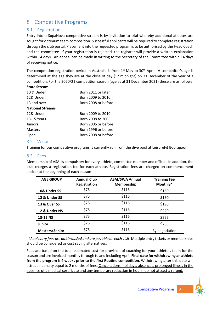# <span id="page-8-0"></span>8 Competitive Programs

## <span id="page-8-1"></span>8.1 Registration

Entry into a SupaNova competitive stream is by invitation to trial whereby additional athletes are sought for optimum team composition. Successful applicants will be required to complete registration through the club portal. Placement into the requested program is to be authorised by the Head Coach and the committee. If your registration is rejected, the registrar will provide a written explanation within 14 days. An appeal can be made in writing to the Secretary of the Committee within 14 days of receiving notice.

The competition registration period in Australia is from  $1<sup>st</sup>$  May to  $30<sup>th</sup>$  April. A competitor's age is determined at the age they are at the close of day (12 midnight) on 31 December of the year of a competition. For the 2020/21 competition season (age as at 31 December 2021) these are as follows:

#### **State Stream**

| 10 & Under              | Born 2011 or later  |
|-------------------------|---------------------|
| 12& Under               | Born 2009 to 2010   |
| 13 and over             | Born 2008 or before |
| <b>National Streams</b> |                     |
| 12& Under               | Born 2009 to 2010   |
| 13-15 Years             | Born 2008 to 2006   |
| Juniors                 | Born 2005 or before |
| <b>Masters</b>          | Born 1996 or before |
| Open                    | Born 2008 or before |

### <span id="page-8-2"></span>8.2 Venue

Training for our competitive programs is currently run from the dive pool at LeisureFit Booragoon.

#### <span id="page-8-3"></span>8.3 Fees

Membership of ASAI is compulsory for every athlete, committee member and official. In addition, the club charges a registration fee for each athlete. Registration fees are charged on commencement and/or at the beginning of each season

| <b>AGE GROUP</b>      | <b>Annual Club</b><br>Registration | <b>ASAI/SWA Annual</b><br><b>Membership</b> | <b>Training Fee</b><br>Monthly* |
|-----------------------|------------------------------------|---------------------------------------------|---------------------------------|
| 10& Under SS          | \$75                               | \$116                                       | \$160                           |
| 12 & Under SS         | \$75                               | \$116                                       | \$160                           |
| 13 & Over SS          | \$75                               | \$116                                       | \$190                           |
| 12 & Under NS         | \$75                               | \$116                                       | \$220                           |
| 13-15 NS              | \$75                               | \$116                                       | \$255                           |
| <b>Junior</b>         | \$75                               | \$116                                       | \$265                           |
| <b>Masters/Senior</b> | \$75                               | \$116                                       | By negotiation                  |

. \**Pool entry fees are not included and are payable on each visit*. Multiple entry tickets or memberships should be considered as cost saving alternatives.

Fees are based on the total estimated cost for provision of coaching for your athlete's team for the season and are invoiced monthly through to and including April. **Final date for withdrawing an athlete from the program is 4 weeks prior to the first Routine competition**. Withdrawing after this date will attract a penalty equal to 2 months of fees. Cancellations, holidays, absences, prolonged illness in the absence of a medical certificate and any temporary reduction in hours, do not attract a refund.

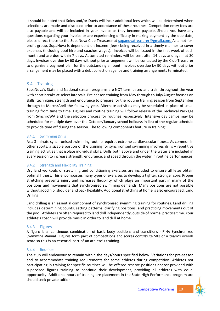It should be noted that Solos and/or Duets will incur additional fees which will be determined when selections are made and disclosed prior to acceptance of these routines. Competition entry fees are also payable and will be included in your invoice as they become payable. Should you have any questions regarding your invoice or are experiencing difficulty in making payment by the due date, please direct these to the SupaNova Club Treasurer at [supanovatreasurer@gmail.com.](mailto:supanovatreasurer@gmail.com) As a not-forprofit group, SupaNova is dependent on income (fees) being received in a timely manner to cover expenses (including pool hire and coaches wages). Invoices will be issued in the first week of each month and are due within 7 days. Automated reminders will be sent after 14 days and again at 30 days. Invoices overdue by 60 days without prior arrangement will be contacted by the Club Treasurer to organise a payment plan for the outstanding amount. Invoices overdue by 90 days without prior arrangement may be placed with a debt collection agency and training arrangements terminated.

## <span id="page-9-0"></span>8.4 Training

SupaNova's State and National stream programs are NOT term based and train throughout the year with short breaks at select intervals. Pre-season training from May through to July/August focuses on skills, technique, strength and endurance to prepare for the routine training season from September through to March/April the following year. Alternate activities may be scheduled in place of usual training from time to time. Figures and routine training will follow release of the Technical Package from SynchroWA and the selection process for routines respectively. Intensive day camps may be scheduled for multiple days over the October/January school holidays in lieu of the regular schedule to provide time off during the season. The following components feature in training:

### <span id="page-9-1"></span>8.4.1 Swimming Drills

As a 3-minute synchronised swimming routine requires extreme cardiovascular fitness. As common in other sports, a sizable portion of the training for synchronised swimming involves drills – repetitive training activities that isolate individual skills. Drills both above and under the water are included in every session to increase strength, endurance, and speed through the water in routine performances.

## <span id="page-9-2"></span>8.4.2 Strength and Flexibility Training

Dry land workouts of stretching and conditioning exercises are included to ensure athletes obtain optimal fitness. This encompasses many types of exercises to develop a tighter, stronger core. Proper stretching prevents injury and increases flexibility which plays an important part in many of the positions and movements that synchronised swimming demands. Many positions are not possible without good hip, shoulder and back flexibility. Additional stretching at home is also encouraged. Land Drilling

Land drilling is an essential component of synchronised swimming training for routines. Land drilling includes determining counts, setting patterns, clarifying positions, and practicing movements out of the pool. Athletes are often required to land drill independently, outside of normal practice time. Your athlete's coach will provide music in order to land drill at home.

### <span id="page-9-3"></span>8.4.3 Figures

A figure is a 'continuous combination of basic body positions and transitions' - FINA Synchronized Swimming Manual. Figures form part of competitions and scores contribute 50% of a team's overall score so this is an essential part of an athlete's training.

### <span id="page-9-4"></span>8.4.4 Routines

The club will endeavour to remain within the days/hours specified below. Variations for pre-season and to accommodate training requirements for some athletes during competition. Athletes not participating in training for specific routines will be offered reserve positions and/or provided with supervised figures training to continue their development, providing all athletes with equal opportunity. Additional hours of training are placement in the State High Performance program are should seek private tuition.

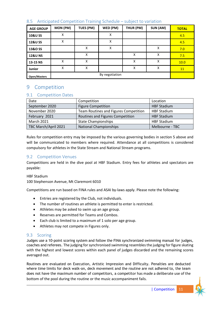| <b>AGE GROUP</b>    | MON (PM) | TUES (PM) | WED (PM)       | THUR (PM) | SUN (AM) | <b>TOTAL</b> |
|---------------------|----------|-----------|----------------|-----------|----------|--------------|
| 10&U SS             | Χ        |           | X              |           |          | 4.5          |
| <b>12&amp;U SS</b>  | Χ        |           | Χ              |           |          | 4.5          |
| 13&O SS             |          | X         | Χ              |           | x        | 7.0          |
| <b>12&amp;U NS</b>  |          | X         |                | X         | X        | 7.5          |
| 13-15 NS            | Χ        | x         |                | X         | X        | 10.0         |
| Junior              | x        | X         |                | X         | X        | 11           |
| <b>Open/Masters</b> |          |           | By negotiation |           |          |              |

## <span id="page-10-0"></span>8.5 Anticipated Competition Training Schedule – subject to variation

# <span id="page-10-1"></span>9 Competition

# <span id="page-10-2"></span>9.1 Competition Dates

| Date                 | Competition                           | Location           |
|----------------------|---------------------------------------|--------------------|
| September 2020       | <b>Figure Competition</b>             | <b>HBF Stadium</b> |
| November 2020        | Team Routines and Figures Competition | <b>HBF Stadium</b> |
| February 2021        | Routines and Figures Competition      | <b>HBF Stadium</b> |
| <b>March 2021</b>    | <b>State Championships</b>            | <b>HBF Stadium</b> |
| TBC March/April 2021 | <b>National Championships</b>         | Melbourne - TBC    |

Rules for competition entry may be imposed by the various governing bodies in section 5 above and will be communicated to members where required. Attendance at all competitions is considered compulsory for athletes in the State Stream and National Stream programs.

## <span id="page-10-3"></span>9.2 Competition Venues

Competitions are held in the dive pool at HBF Stadium. Entry fees for athletes and spectators are payable:

HBF Stadium

100 Stephenson Avenue, Mt Claremont 6010

Competitions are run based on FINA rules and ASAI by-laws apply. Please note the following:

- Entries are registered by the Club, not individuals.
- The number of routines an athlete is permitted to enter is restricted.
- Athletes may be asked to swim up an age group.
- Reserves are permitted for Teams and Combos.
- Each club is limited to a maximum of 1 solo per age group.
- Athletes may not compete in Figures only.

## <span id="page-10-4"></span>9.3 Scoring

Judges use a 10-point scoring system and follow the FINA synchronized swimming manual for judges, coaches and referees. The judging for synchronised swimming resembles the judging for figure skating with the highest and lowest scores within each panel of judges discarded and the remaining scores averaged out.

Routines are evaluated on Execution, Artistic Impression and Difficulty. Penalties are deducted where time limits for deck walk-on, deck movement and the routine are not adhered to, the team does not have the maximum number of competitors, a competitor has made a deliberate use of the bottom of the pool during the routine or the music accompaniment fails.

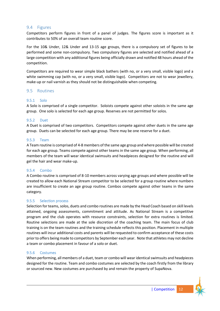#### <span id="page-11-0"></span>9.4 Figures

Competitors perform figures in front of a panel of judges. The figures score is important as it contributes to 50% of an overall team routine score.

For the 10& Under, 12& Under and 13-15 age groups, there is a compulsory set of figures to be performed and some non-compulsory. Two compulsory figures are selected and notified ahead of a large competition with any additional figures being officially drawn and notified 48 hours ahead of the competition.

Competitors are required to wear simple black bathers (with no, or a very small, visible logo) and a white swimming cap (with no, or a very small, visible logo). Competitors are not to wear jewellery, make-up or nail varnish as they should not be distinguishable when competing.

#### <span id="page-11-1"></span>9.5 Routines

#### <span id="page-11-2"></span>9.5.1 Solo

A Solo is comprised of a single competitor. Soloists compete against other soloists in the same age group. One solo is selected for each age group. Reserves are not permitted for solos.

#### <span id="page-11-3"></span>9.5.2 Duet

A Duet is comprised of two competitors. Competitors compete against other duets in the same age group. Duets can be selected for each age group. There may be one reserve for a duet.

#### <span id="page-11-4"></span>9.5.3 Team

A Team routine is comprised of 4-8 members of the same age group and where possible will be created for each age group. Teams compete against other teams in the same age group. When performing, all members of the team will wear identical swimsuits and headpieces designed for the routine and will gel the hair and wear make-up.

#### <span id="page-11-5"></span>9.5.4 Combo

A Combo routine is comprised of 8-10 members across varying age groups and where possible will be created to allow each National Stream competitor to be selected for a group routine where numbers are insufficient to create an age group routine. Combos compete against other teams in the same category.

#### <span id="page-11-6"></span>9.5.5 Selection process

Selection for teams, solos, duets and combo routines are made by the Head Coach based on skill levels attained, ongoing assessments, commitment and attitude. As National Stream is a competitive program and the club operates with resource constraints, selection for extra routines is limited. Routine selections are made at the sole discretion of the coaching team. The main focus of club training is on the team routines and the training schedule reflects this position. Placement in multiple routines will incur additional costs and parents will be requested to confirm acceptance of these costs prior to offers being made to competitors by September each year. Note that athletes may not decline a team or combo placement in favour of a solo or duet.

#### <span id="page-11-7"></span>9.5.6 Costumes

When performing, all members of a duet, team or combo will wear identical swimsuits and headpieces designed for the routine. Team and combo costumes are selected by the coach firstly from the library or sourced new. New costumes are purchased by and remain the property of SupaNova.

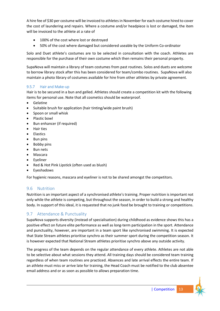A hire fee of \$30 per costume will be invoiced to athletes in November for each costume hired to cover the cost of laundering and repairs. Where a costume and/or headpiece is lost or damaged, the item will be invoiced to the athlete at a rate of

- 100% of the cost where lost or destroyed
- 50% of the cost where damaged but considered useable by the Uniform Co-ordinator

Solo and Duet athlete's costumes are to be selected in consultation with the coach. Athletes are responsible for the purchase of their own costume which then remains their personal property.

SupaNova will maintain a library of team costumes from past routines. Solos and duets are welcome to borrow library stock after this has been considered for team/combo routines. SupaNova will also maintain a photo library of costumes available for hire from other athletes by private agreement.

### <span id="page-12-0"></span>9.5.7 Hair and Make-up

Hair is to be secured in a bun and gelled. Athletes should create a competition kit with the following items for personal use. Note that all cosmetics should be waterproof.

- Gelatine
- Suitable brush for application (hair tinting/wide paint brush)
- Spoon or small whisk
- Plastic bowl
- Bun enhancer (if required)
- Hair ties
- Elastics
- Bun pins
- Bobby pins
- Bun nets
- Mascara
- Eyeliner
- Red & Hot Pink Lipstick (often used as blush)
- Eyeshadows

For hygienic reasons, mascara and eyeliner is not to be shared amongst the competitors.

## <span id="page-12-1"></span>9.6 Nutrition

Nutrition is an important aspect of a synchronised athlete's training. Proper nutrition is important not only while the athlete is competing, but throughout the season, in order to build a strong and healthy body. In support of this ideal, it is requested that no junk food be brought to training or competitions.

# <span id="page-12-2"></span>9.7 Attendance & Punctuality

SupaNova supports diversity (instead of specialisation) during childhood as evidence shows this has a positive effect on future elite performance as well as long-term participation in the sport. Attendance and punctuality, however, are important in a team sport like synchronised swimming. It is expected that State Stream athletes prioritise synchro as their summer sport during the competition season. It is however expected that National Stream athletes prioritise synchro above any outside activity.

The progress of the team depends on the regular attendance of every athlete. Athletes are not able to be selective about what sessions they attend. All training days should be considered team training regardless of when team routines are practiced. Absences and late arrival effects the entire team. If an athlete must miss or arrive late for training, the Head Coach must be notified to the club absentee email address and or as soon as possible to allows preparation time.

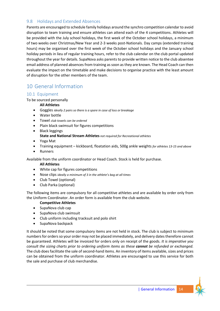## <span id="page-13-0"></span>9.8 Holidays and Extended Absences

Parents are encouraged to schedule family holidays around the synchro competition calendar to avoid disruption to team training and ensure athletes can attend each of the 4 competitions. Athletes will be provided with the July school holidays, the first week of the October school holidays, a minimum of two weeks over Christmas/New Year and 2-3 weeks post-Nationals. Day camps (extended training hours) may be organised over the first week of the October school holidays and the January school holiday periods in lieu of regular training hours, refer to the club calendar on the club portal updated throughout the year for details. SupaNova asks parents to provide written notice to the club absentee email address of planned absences from training as soon as they are known. The Head Coach can then evaluate the impact on the timetable and make decisions to organise practice with the least amount of disruption for the other members of the team.

# <span id="page-13-1"></span>10 General Information

### <span id="page-13-2"></span>10.1 Equipment

To be sourced personally

#### **All Athletes**

- Goggles *ideally 2 pairs so there is a spare in case of loss or breakage*
- Water bottle
- Towel *club towels can be ordered*
- Plain black swimsuit for figures competitions
- Black leggings
	- **State and National Stream Athletes** *not required for Recreational athletes*
- Yoga Mat
- Training equipment kickboard, floatation aids, 500g ankle weights *for athletes 13-15 and above*
- Runners

Available from the uniform coordinator or Head Coach. Stock is held for purchase.

#### **All Athletes**

- White cap for figures competitions
- Nose clips *ideally a minimum of 3 in the athlete's bag at all times*
- Club Towel (optional)
- Club Parka (optional)

The following items are compulsory for all competitive athletes and are available by order only from the Uniform Coordinator. An order form is available from the club website.

#### **Competitive Athletes**

- SupaNova club cap
- SupaNova club swimsuit
- Club uniform including tracksuit and polo shirt
- SupaNova backpack

It should be noted that some compulsory items are not held in stock. The club is subject to minimum numbers for orders so your order may not be placed immediately, and delivery dates therefore cannot be guaranteed. Athletes will be invoiced for orders only on receipt of the goods. *It is imperative you consult the sizing charts prior to ordering uniform items as these cannot be refunded or exchanged.* The club does facilitate the sale of second-hand items. An inventory of items available, sizes and prices can be obtained from the uniform coordinator. Athletes are encouraged to use this service for both the sale and purchase of club merchandise.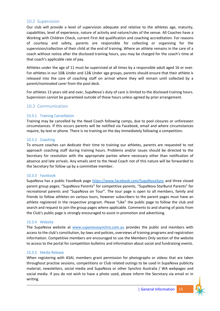### <span id="page-14-0"></span>10.2 Supervision

Our club will provide a level of supervision adequate and relative to the athletes age, maturity, capabilities, level of experience, nature of activity and nature/rules of the venue. All Coaches have a Working with Children Check, current First Aid qualification and coaching accreditation. For reasons of courtesy and safety, parents are responsible for collecting or organising for the supervision/collection of their child at the end of training. Where an athlete remains in the care of a coach without notice after the disclosed training hours, you may be charged for the coach's time at that coach's applicable rate of pay.

Athletes under the age of 11 must be supervised at all times by a responsible adult aged 16 or over. For athletes in our 10& Under and 12& Under age groups, parents should ensure that their athlete is released into the care of coaching staff on arrival where they will remain until collected by a parent/nominated carer from the pool deck.

For athletes 13 years old and over, SupaNova's duty of care is limited to the disclosed training hours. Supervision cannot be guaranteed outside of these hours unless agreed by prior arrangement.

### <span id="page-14-1"></span>10.3 Communication

#### <span id="page-14-2"></span>10.3.1 Training Cancellation

Training may be cancelled by the Head Coach following camps, due to pool closures or unforeseen circumstances. If this occurs parents will be notified via Facebook, email and where circumstances require, by text or phone. There is no training on the day immediately following a competition.

#### <span id="page-14-3"></span>10.3.2 Coaching

To ensure coaches can dedicate their time to training our athletes, parents are requested to not approach coaching staff during training hours. Problems and/or issues should be directed to the Secretary for resolution with the appropriate parties where necessary other than notification of absence and late arrivals. Any emails sent to the Head Coach not of this nature will be forwarded to the Secretary for follow up by a committee member.

#### <span id="page-14-4"></span>10.3.3 Facebook

SupaNova has a public FaceBook page<https://www.facebook.com/SupaNovaSync> and three closed parent group pages; "SupaNova Parents" for competitive parents, "SupaNova StarBurst Parents" for recreational parents and "SupaNova on Tour". The tour page is open to all members, family and friends to follow athletes on various tours, however subscribers to the parent pages must have an athlete registered in the respective program. Please "Like" the public page to follow the club and search and request to join the group pages where applicable. Comments to and sharing of posts from the Club's public page is strongly encouraged to assist in promotion and advertising.

#### <span id="page-14-5"></span>10.3.4 Website

The SupaNova website at [www.supanovasynchro.com.au](http://www.supanovasynchro.com.au/) provides the public and members with access to the club's constitution, by-laws and policies, overviews of training programs and registration information. Competitive members are encouraged to use the Members Only section of the website to access to the portal for competition bulletins and information about social and fundraising events.

#### <span id="page-14-6"></span>10.3.5 Media Release

When registering with ASAI, members grant permission for photographs or videos that are taken throughout practise sessions, competitions or Club related outings to be used in SupaNova publicity material, newsletters, social media and SupaNova or other Synchro Australia / WA webpages and social media. If you do not wish to have a photo used, please inform the Secretary via email or in writing.

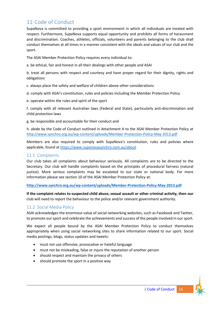# <span id="page-15-0"></span>11 Code of Conduct

SupaNova is committed to providing a sport environment in which all individuals are treated with respect. Furthermore, SupaNova supports equal opportunity and prohibits all forms of harassment and discrimination. Coaches, athletes, officials, volunteers and parents belonging to the club shall conduct themselves at all times in a manner consistent with the ideals and values of our club and the sport.

The ASAI Member Protection Policy requires every individual to:

a. be ethical, fair and honest in all their dealings with other people and ASAI

b. treat all persons with respect and courtesy and have proper regard for their dignity, rights and obligations

c. always place the safety and welfare of children above other considerations

d. comply with ASAI's constitution, rules and policies including the Member Protection Policy

e. operate within the rules and spirit of the sport

f. comply with all relevant Australian laws (Federal and State), particularly anti-discrimination and child protection laws

g. be responsible and accountable for their conduct and

h. abide by the Code of Conduct outlined in Attachment A to the ASAI Member Protection Policy at <http://www.synchro.org.au/wp-content/uploads/Member-Protection-Policy-May-2013.pdf>

Members are also required to comply with SupaNova's constitution, rules and policies where applicable, found at<https://www.supanovasynchro.com.au/about>

### <span id="page-15-1"></span>11.1 Complaints

Our club takes all complaints about behaviour seriously. All complaints are to be directed to the Secretary. Our club will handle complaints based on the principles of procedural fairness (natural justice). More serious complaints may be escalated to our state or national body. For more information please see section 10 of the ASAI Member Protection Policy at:

**<http://www.synchro.org.au/wp-content/uploads/Member-Protection-Policy-May-2013.pdf>**

**If the complaint relates to suspected child abuse, sexual assault or other criminal activity, then our** club will need to report the behaviour to the police and/or relevant government authority.

## <span id="page-15-2"></span>11.2 Social Media Policy

ASAI acknowledges the enormous value of social networking websites, such as Facebook and Twitter, to promote our sport and celebrate the achievements and success of the people involved in our sport.

We expect all people bound by the ASAI Member Protection Policy to conduct themselves appropriately when using social networking sites to share information related to our sport. Social media postings, blogs, status updates and tweets:

- must not use offensive, provocative or hateful language
- must not be misleading, false or injure the reputation of another person
- should respect and maintain the privacy of others
- should promote the sport in a positive way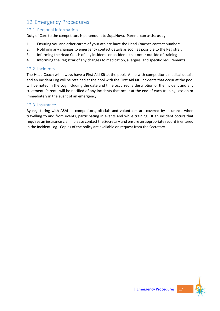# <span id="page-16-0"></span>12 Emergency Procedures

## <span id="page-16-1"></span>12.1 Personal Information

Duty of Care to the competitors is paramount to SupaNova. Parents can assist us by:

- 1. Ensuring you and other carers of your athlete have the Head Coaches contact number;
- 2. Notifying any changes to emergency contact details as soon as possible to the Registrar;
- 3. Informing the Head Coach of any incidents or accidents that occur outside of training
- 4. Informing the Registrar of any changes to medication, allergies, and specific requirements.

## <span id="page-16-2"></span>12.2 Incidents

The Head Coach will always have a First Aid Kit at the pool. A file with competitor's medical details and an Incident Log will be retained at the pool with the First Aid Kit. Incidents that occur at the pool will be noted in the Log including the date and time occurred, a description of the incident and any treatment. Parents will be notified of any incidents that occur at the end of each training session or immediately in the event of an emergency.

## <span id="page-16-3"></span>12.3 Insurance

By registering with ASAI all competitors, officials and volunteers are covered by insurance when travelling to and from events, participating in events and while training. If an incident occurs that requires an insurance claim, please contact the Secretary and ensure an appropriate record is entered in the Incident Log. Copies of the policy are available on request from the Secretary.